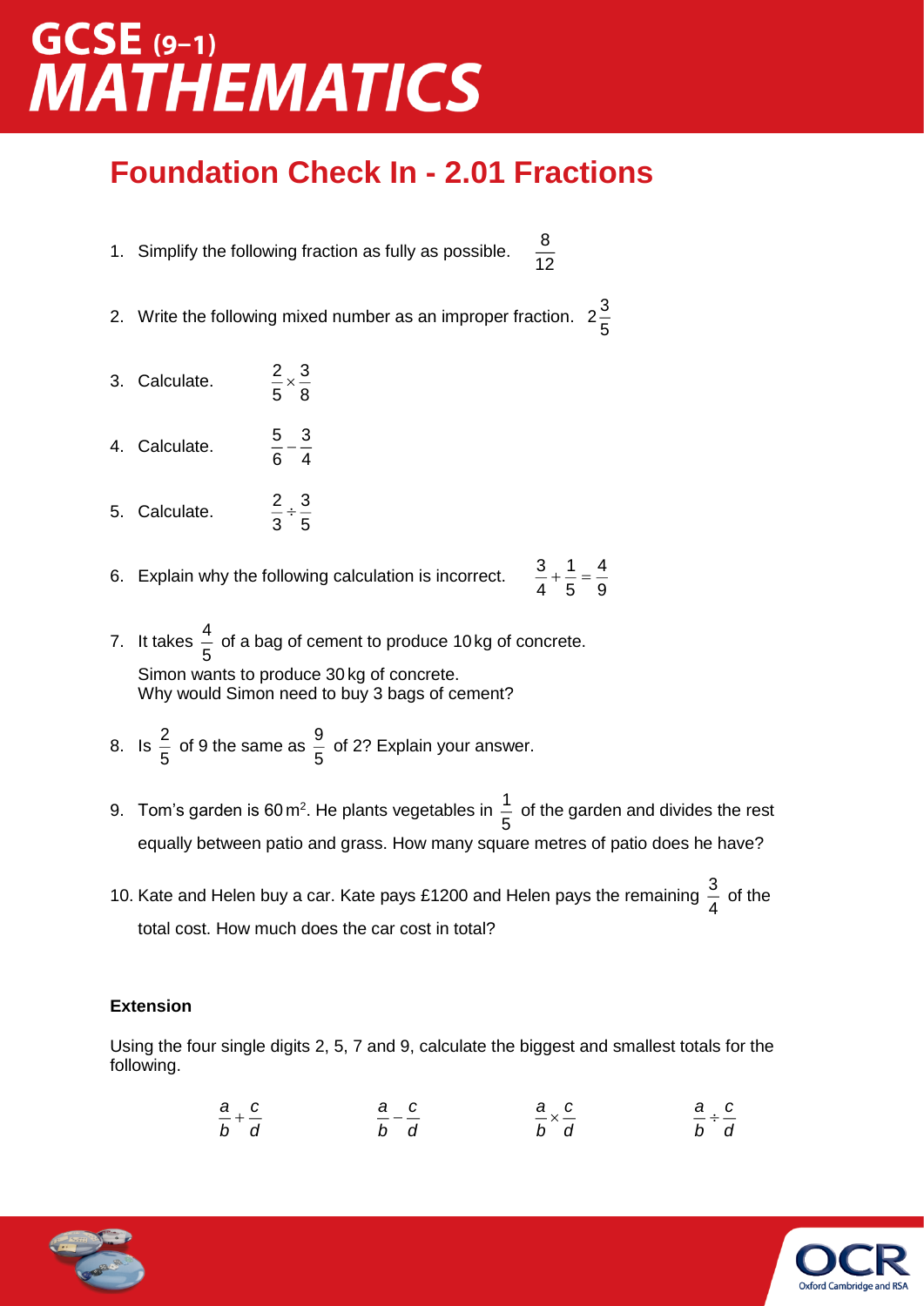### $GCSE$  (9-1) **MATHEMATICS**

#### **Foundation Check In - 2.01 Fractions**

8

- 1. Simplify the following fraction as fully as possible. 12
- 2. Write the following mixed number as an improper fraction.  $2\frac{8}{5}$  $2^{\frac{3}{2}}$
- 3. Calculate. 8 3 5  $\frac{2}{2}$   $\times$
- 4. Calculate. 4 3 6  $\frac{5}{-}$
- 5. Calculate. 5 3 3  $\frac{2}{2}$  ÷
- 6. Explain why the following calculation is incorrect. 9 4 5 1 4  $\frac{3}{-} + \frac{1}{-} =$
- 7. It takes  $\frac{1}{5}$ 4<br><del>\_</del> of a bag of cement to produce 10 kg of concrete. Simon wants to produce 30 kg of concrete. Why would Simon need to buy 3 bags of cement?
- 8. Is 5  $\frac{2}{5}$  of 9 the same as 5 9<br><del>\_</del> of 2? Explain your answer.
- 9.  $\,$  Tom's garden is 60 m $^{2}$ . He plants vegetables in  $\, \frac{1}{5}$ 1<br>- of the garden and divides the rest equally between patio and grass. How many square metres of patio does he have?
- 10. Kate and Helen buy a car. Kate pays £1200 and Helen pays the remaining  $\frac{3}{4}$  $\frac{3}{4}$  of the total cost. How much does the car cost in total?

#### **Extension**

Using the four single digits 2, 5, 7 and 9, calculate the biggest and smallest totals for the following.

$$
\frac{a}{b} + \frac{c}{d} \qquad \qquad \frac{a}{b} - \frac{c}{d} \qquad \qquad \frac{a}{b} \times \frac{c}{d} \qquad \qquad \frac{a}{b} \div \frac{c}{d}
$$



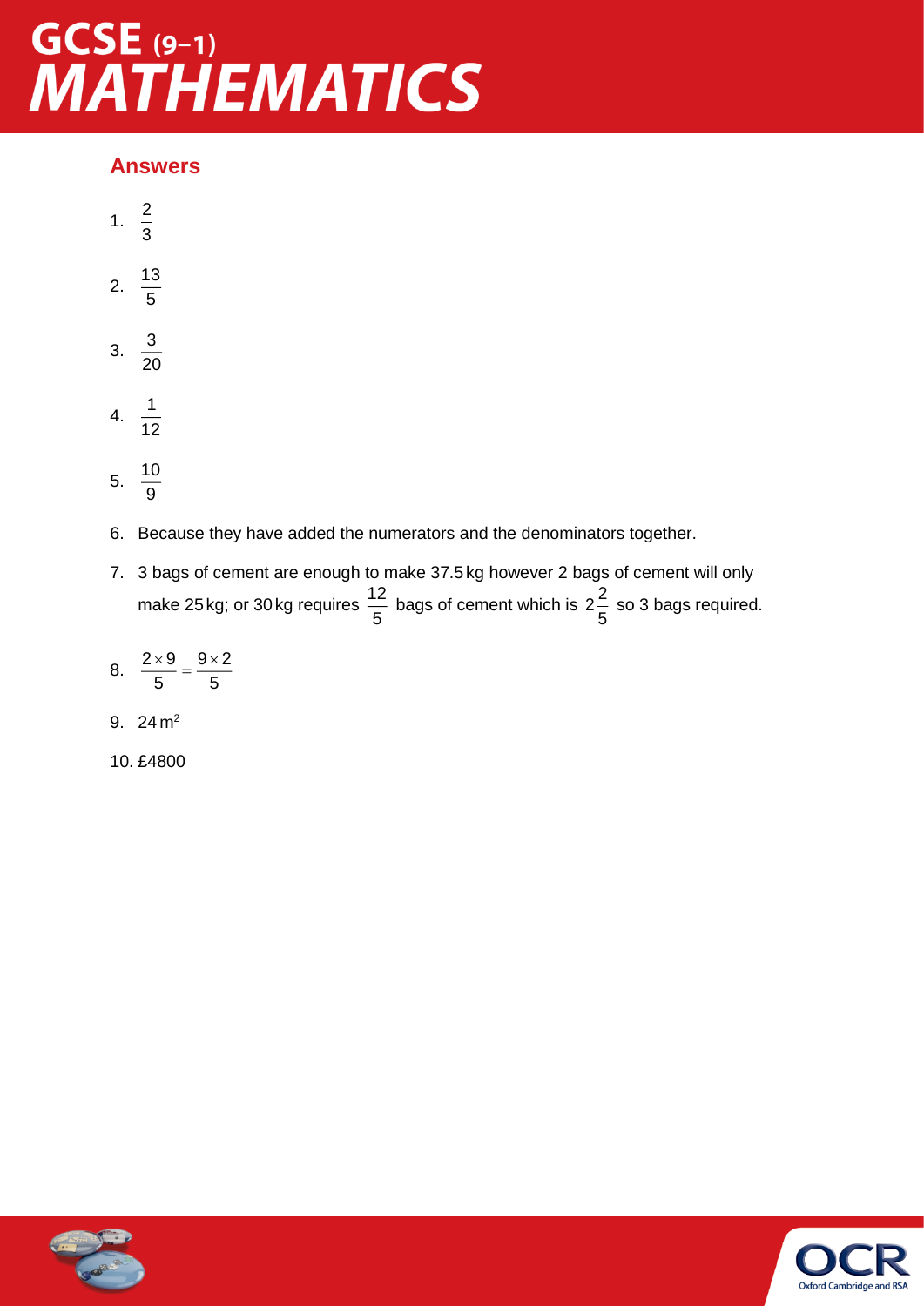# GCSE (9-1)<br>MATHEMATICS

#### **Answers**

- 1.  $\frac{2}{3}$ 2
- 2.  $\frac{1}{5}$ 13
- 3.  $\frac{6}{20}$ 3
- 4.  $\frac{1}{12}$ 1
- 5.  $\frac{1}{9}$ 10
- 6. Because they have added the numerators and the denominators together.
- 7. 3 bags of cement are enough to make 37.5 kg however 2 bags of cement will only make 25 kg; or 30 kg requires  $\frac{12}{5}$  $\frac{12}{5}$  bags of cement which is 2 $\frac{2}{5}$  $2\frac{2}{5}$  so 3 bags required.
- 8.  $\frac{200}{5} = \frac{30}{5}$  $9\!\times\!2$ 5  $\frac{2\times9}{2}$  =  $\frac{9\times1}{2}$ ×
- 9.  $24 \text{ m}^2$
- 10. £4800



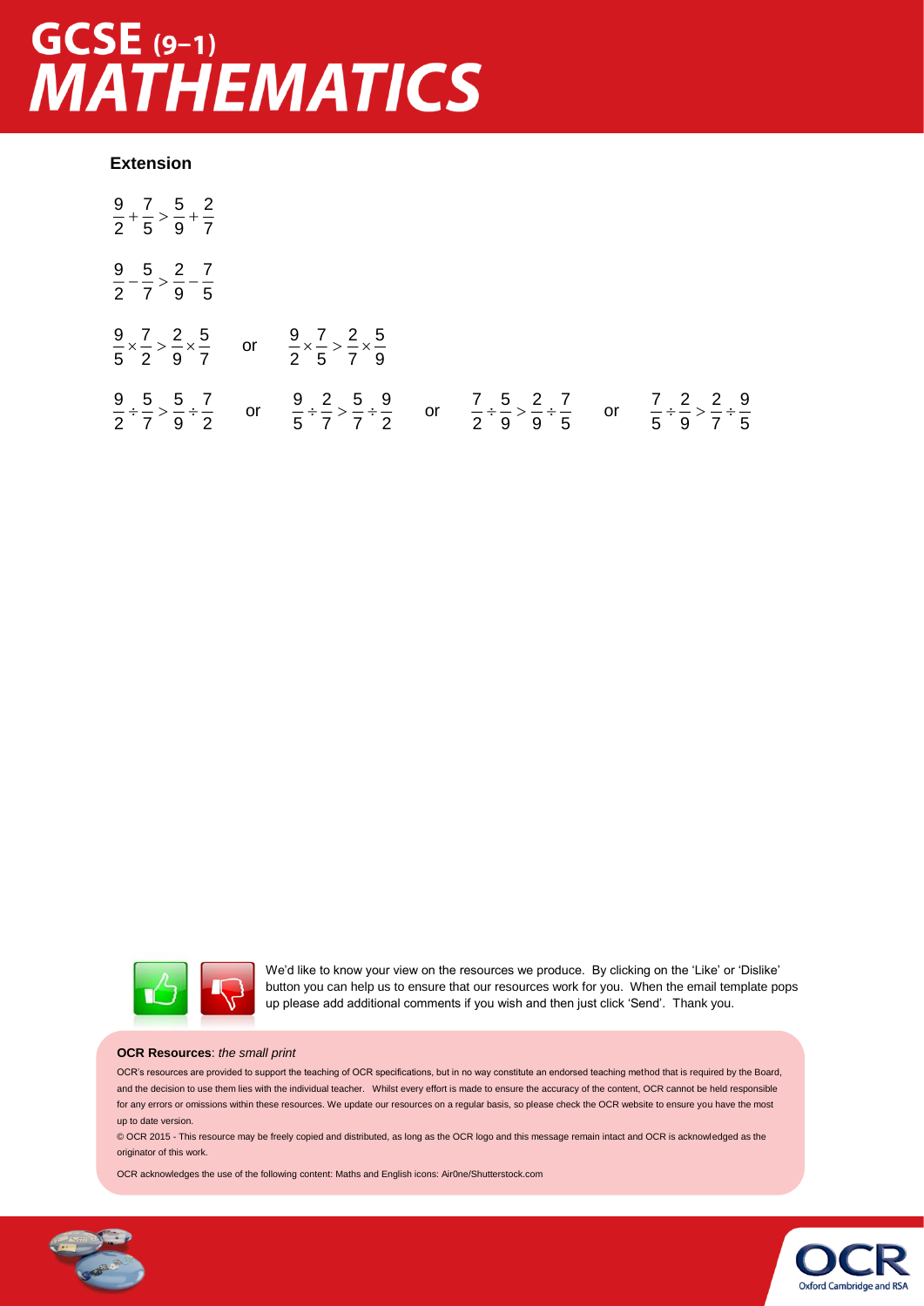## GCSE (9-1)<br>MATHEMATICS

#### **Extension**

| $\frac{9}{2} + \frac{7}{5} > \frac{5}{9} + \frac{2}{7}$ |                                                               |               |                                                                                                                                                   |                                                                                                                                   |  |
|---------------------------------------------------------|---------------------------------------------------------------|---------------|---------------------------------------------------------------------------------------------------------------------------------------------------|-----------------------------------------------------------------------------------------------------------------------------------|--|
| $\frac{9}{2} - \frac{5}{7} > \frac{2}{9} - \frac{7}{5}$ |                                                               |               |                                                                                                                                                   |                                                                                                                                   |  |
| $5\quad 2\quad 9\quad 7$                                |                                                               |               | $\frac{9}{2} \times \frac{7}{2} > \frac{2}{2} \times \frac{5}{2}$ or $\frac{9}{2} \times \frac{7}{2} > \frac{2}{2} \times \frac{5}{2}$<br>2 5 7 9 |                                                                                                                                   |  |
|                                                         | $\frac{9}{2} \div \frac{5}{7} > \frac{5}{9} \div \frac{7}{2}$ | $\mathsf{or}$ | $\frac{9}{5} \div \frac{2}{7} > \frac{5}{7} \div \frac{9}{2}$                                                                                     | or $\frac{7}{2} \div \frac{5}{9} > \frac{2}{9} \div \frac{7}{5}$ or $\frac{7}{5} \div \frac{2}{9} > \frac{2}{7} \div \frac{9}{5}$ |  |



[W](mailto:resources.feedback@ocr.org.uk?subject=I disliked the Topic Check In for 2.02 2.01 Fractions)e'd like to know your view on the resources we produce. By clicking on the 'Like' or 'Dislike' button you can help us to ensure that our resources work for you. When the email template pops up please add additional comments if you wish and then just click 'Send'. Thank you.

#### **OCR Resources**: *the small print*

OCR's resources are provided to support the teaching of OCR specifications, but in no way constitute an endorsed teaching method that is required by the Board, and the decision to use them lies with the individual teacher. Whilst every effort is made to ensure the accuracy of the content, OCR cannot be held responsible for any errors or omissions within these resources. We update our resources on a regular basis, so please check the OCR website to ensure you have the most up to date version.

© OCR 2015 - This resource may be freely copied and distributed, as long as the OCR logo and this message remain intact and OCR is acknowledged as the originator of this work.

OCR acknowledges the use of the following content: Maths and English icons: Air0ne/Shutterstock.com